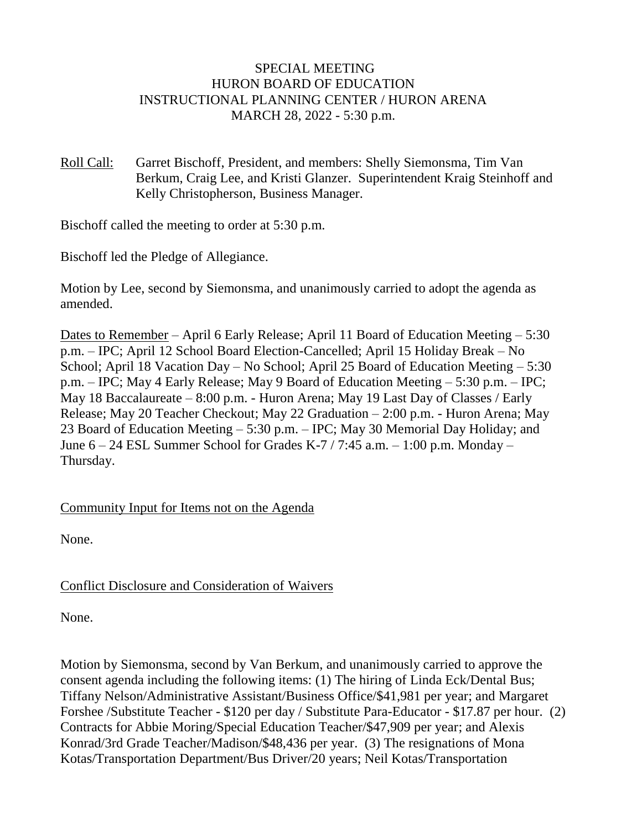### SPECIAL MEETING HURON BOARD OF EDUCATION INSTRUCTIONAL PLANNING CENTER / HURON ARENA MARCH 28, 2022 - 5:30 p.m.

Roll Call: Garret Bischoff, President, and members: Shelly Siemonsma, Tim Van Berkum, Craig Lee, and Kristi Glanzer. Superintendent Kraig Steinhoff and Kelly Christopherson, Business Manager.

Bischoff called the meeting to order at 5:30 p.m.

Bischoff led the Pledge of Allegiance.

Motion by Lee, second by Siemonsma, and unanimously carried to adopt the agenda as amended.

Dates to Remember – April 6 Early Release; April 11 Board of Education Meeting – 5:30 p.m. – IPC; April 12 School Board Election-Cancelled; April 15 Holiday Break – No School; April 18 Vacation Day – No School; April 25 Board of Education Meeting – 5:30 p.m. – IPC; May 4 Early Release; May 9 Board of Education Meeting – 5:30 p.m. – IPC; May 18 Baccalaureate – 8:00 p.m. - Huron Arena; May 19 Last Day of Classes / Early Release; May 20 Teacher Checkout; May 22 Graduation – 2:00 p.m. - Huron Arena; May 23 Board of Education Meeting – 5:30 p.m. – IPC; May 30 Memorial Day Holiday; and June 6 – 24 ESL Summer School for Grades K-7 / 7:45 a.m. – 1:00 p.m. Monday – Thursday.

## Community Input for Items not on the Agenda

None.

## Conflict Disclosure and Consideration of Waivers

None.

Motion by Siemonsma, second by Van Berkum, and unanimously carried to approve the consent agenda including the following items: (1) The hiring of Linda Eck/Dental Bus; Tiffany Nelson/Administrative Assistant/Business Office/\$41,981 per year; and Margaret Forshee /Substitute Teacher - \$120 per day / Substitute Para-Educator - \$17.87 per hour. (2) Contracts for Abbie Moring/Special Education Teacher/\$47,909 per year; and Alexis Konrad/3rd Grade Teacher/Madison/\$48,436 per year. (3) The resignations of Mona Kotas/Transportation Department/Bus Driver/20 years; Neil Kotas/Transportation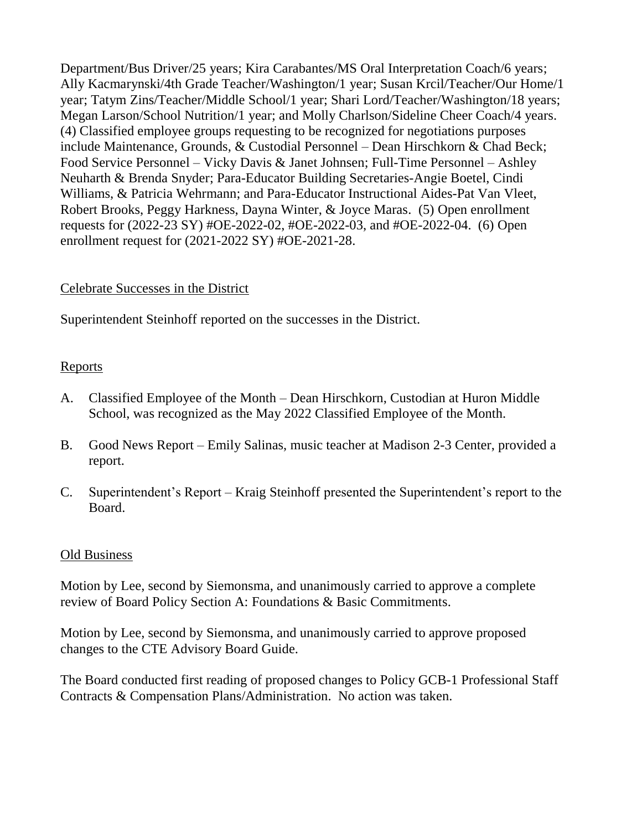Department/Bus Driver/25 years; Kira Carabantes/MS Oral Interpretation Coach/6 years; Ally Kacmarynski/4th Grade Teacher/Washington/1 year; Susan Krcil/Teacher/Our Home/1 year; Tatym Zins/Teacher/Middle School/1 year; Shari Lord/Teacher/Washington/18 years; Megan Larson/School Nutrition/1 year; and Molly Charlson/Sideline Cheer Coach/4 years. (4) Classified employee groups requesting to be recognized for negotiations purposes include Maintenance, Grounds, & Custodial Personnel – Dean Hirschkorn & Chad Beck; Food Service Personnel – Vicky Davis & Janet Johnsen; Full-Time Personnel – Ashley Neuharth & Brenda Snyder; Para-Educator Building Secretaries-Angie Boetel, Cindi Williams, & Patricia Wehrmann; and Para-Educator Instructional Aides-Pat Van Vleet, Robert Brooks, Peggy Harkness, Dayna Winter, & Joyce Maras. (5) Open enrollment requests for (2022-23 SY) #OE-2022-02, #OE-2022-03, and #OE-2022-04. (6) Open enrollment request for (2021-2022 SY) #OE-2021-28.

# Celebrate Successes in the District

Superintendent Steinhoff reported on the successes in the District.

## Reports

- A. Classified Employee of the Month Dean Hirschkorn, Custodian at Huron Middle School, was recognized as the May 2022 Classified Employee of the Month.
- B. Good News Report Emily Salinas, music teacher at Madison 2-3 Center, provided a report.
- C. Superintendent's Report Kraig Steinhoff presented the Superintendent's report to the Board.

### Old Business

Motion by Lee, second by Siemonsma, and unanimously carried to approve a complete review of Board Policy Section A: Foundations & Basic Commitments.

Motion by Lee, second by Siemonsma, and unanimously carried to approve proposed changes to the CTE Advisory Board Guide.

The Board conducted first reading of proposed changes to Policy GCB-1 Professional Staff Contracts & Compensation Plans/Administration. No action was taken.